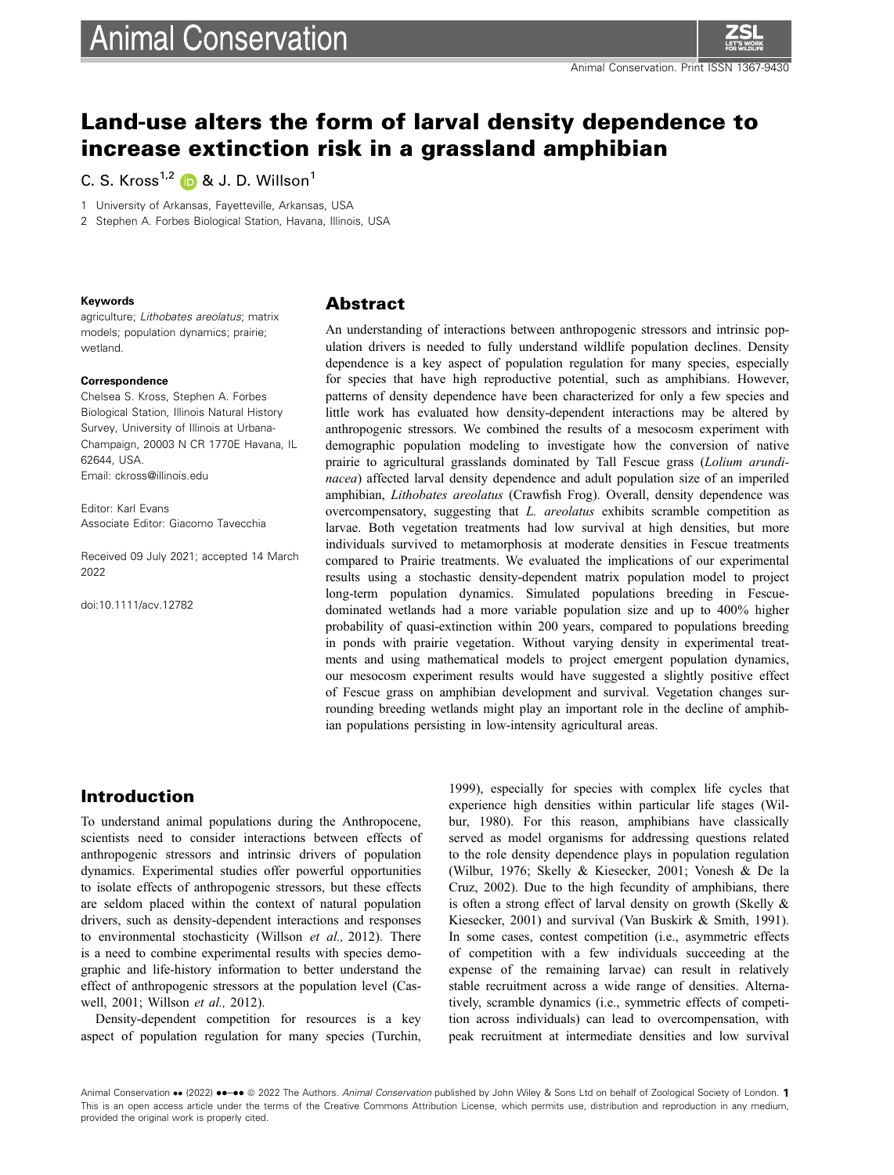

# Land-use alters the form of larval density dependence to increase extinction risk in a grassland amphibian

C. S. Kross<sup>1,[2](https://orcid.org/0000-0003-4959-2556)</sup>  $\bullet$  & J. D. Willson<sup>1</sup>

1 University of Arkansas, Fayetteville, Arkansas, USA

2 Stephen A. Forbes Biological Station, Havana, Illinois, USA

#### Keywords

agriculture; Lithobates areolatus; matrix models; population dynamics; prairie; wetland.

#### **Correspondence**

Chelsea S. Kross, Stephen A. Forbes Biological Station, Illinois Natural History Survey, University of Illinois at Urbana-Champaign, 20003 N CR 1770E Havana, IL 62644, USA. Email: ckross@illinois.edu

Editor: Karl Evans Associate Editor: Giacomo Tavecchia

Received 09 July 2021; accepted 14 March 2022

doi:10.1111/acv.12782

### Abstract

An understanding of interactions between anthropogenic stressors and intrinsic population drivers is needed to fully understand wildlife population declines. Density dependence is a key aspect of population regulation for many species, especially for species that have high reproductive potential, such as amphibians. However, patterns of density dependence have been characterized for only a few species and little work has evaluated how density-dependent interactions may be altered by anthropogenic stressors. We combined the results of a mesocosm experiment with demographic population modeling to investigate how the conversion of native prairie to agricultural grasslands dominated by Tall Fescue grass (Lolium arundinacea) affected larval density dependence and adult population size of an imperiled amphibian, Lithobates areolatus (Crawfish Frog). Overall, density dependence was overcompensatory, suggesting that L. areolatus exhibits scramble competition as larvae. Both vegetation treatments had low survival at high densities, but more individuals survived to metamorphosis at moderate densities in Fescue treatments compared to Prairie treatments. We evaluated the implications of our experimental results using a stochastic density-dependent matrix population model to project long-term population dynamics. Simulated populations breeding in Fescuedominated wetlands had a more variable population size and up to 400% higher probability of quasi-extinction within 200 years, compared to populations breeding in ponds with prairie vegetation. Without varying density in experimental treatments and using mathematical models to project emergent population dynamics, our mesocosm experiment results would have suggested a slightly positive effect of Fescue grass on amphibian development and survival. Vegetation changes surrounding breeding wetlands might play an important role in the decline of amphibian populations persisting in low-intensity agricultural areas.

# Introduction

To understand animal populations during the Anthropocene, scientists need to consider interactions between effects of anthropogenic stressors and intrinsic drivers of population dynamics. Experimental studies offer powerful opportunities to isolate effects of anthropogenic stressors, but these effects are seldom placed within the context of natural population drivers, such as density-dependent interactions and responses to environmental stochasticity (Willson et al., 2012). There is a need to combine experimental results with species demographic and life-history information to better understand the effect of anthropogenic stressors at the population level (Caswell, 2001; Willson et al., 2012).

Density-dependent competition for resources is a key aspect of population regulation for many species (Turchin,

1999), especially for species with complex life cycles that experience high densities within particular life stages (Wilbur, 1980). For this reason, amphibians have classically served as model organisms for addressing questions related to the role density dependence plays in population regulation (Wilbur, 1976; Skelly & Kiesecker, 2001; Vonesh & De la Cruz, 2002). Due to the high fecundity of amphibians, there is often a strong effect of larval density on growth (Skelly & Kiesecker, 2001) and survival (Van Buskirk & Smith, 1991). In some cases, contest competition (i.e., asymmetric effects of competition with a few individuals succeeding at the expense of the remaining larvae) can result in relatively stable recruitment across a wide range of densities. Alternatively, scramble dynamics (i.e., symmetric effects of competition across individuals) can lead to overcompensation, with peak recruitment at intermediate densities and low survival

Animal Conservation •• (2022) ••-•• © 2022 The Authors. Animal Conservation published by John Wiley & Sons Ltd on behalf of Zoological Society of London. 1 This is an open access article under the terms of the Creative Commons Attribution License, which permits use, distribution and reproduction in any medium, provided the original work is properly cited.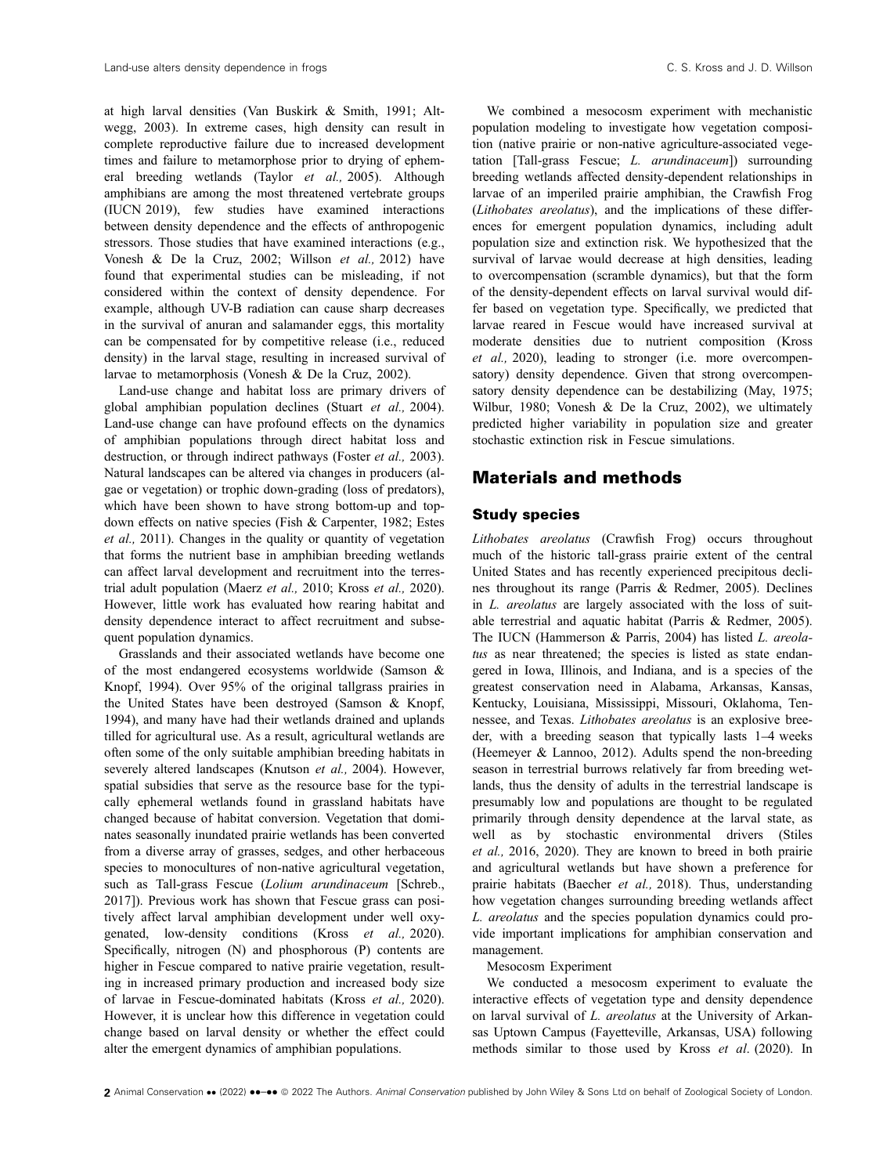at high larval densities (Van Buskirk & Smith, 1991; Altwegg, 2003). In extreme cases, high density can result in complete reproductive failure due to increased development times and failure to metamorphose prior to drying of ephemeral breeding wetlands (Taylor et al., 2005). Although amphibians are among the most threatened vertebrate groups (IUCN 2019), few studies have examined interactions between density dependence and the effects of anthropogenic stressors. Those studies that have examined interactions (e.g., Vonesh & De la Cruz, 2002; Willson et al., 2012) have found that experimental studies can be misleading, if not considered within the context of density dependence. For example, although UV-B radiation can cause sharp decreases in the survival of anuran and salamander eggs, this mortality can be compensated for by competitive release (i.e., reduced density) in the larval stage, resulting in increased survival of larvae to metamorphosis (Vonesh & De la Cruz, 2002).

Land-use change and habitat loss are primary drivers of global amphibian population declines (Stuart et al., 2004). Land-use change can have profound effects on the dynamics of amphibian populations through direct habitat loss and destruction, or through indirect pathways (Foster et al., 2003). Natural landscapes can be altered via changes in producers (algae or vegetation) or trophic down-grading (loss of predators), which have been shown to have strong bottom-up and topdown effects on native species (Fish & Carpenter, 1982; Estes et al., 2011). Changes in the quality or quantity of vegetation that forms the nutrient base in amphibian breeding wetlands can affect larval development and recruitment into the terrestrial adult population (Maerz et al., 2010; Kross et al., 2020). However, little work has evaluated how rearing habitat and density dependence interact to affect recruitment and subsequent population dynamics.

Grasslands and their associated wetlands have become one of the most endangered ecosystems worldwide (Samson & Knopf, 1994). Over 95% of the original tallgrass prairies in the United States have been destroyed (Samson & Knopf, 1994), and many have had their wetlands drained and uplands tilled for agricultural use. As a result, agricultural wetlands are often some of the only suitable amphibian breeding habitats in severely altered landscapes (Knutson et al., 2004). However, spatial subsidies that serve as the resource base for the typically ephemeral wetlands found in grassland habitats have changed because of habitat conversion. Vegetation that dominates seasonally inundated prairie wetlands has been converted from a diverse array of grasses, sedges, and other herbaceous species to monocultures of non-native agricultural vegetation, such as Tall-grass Fescue (Lolium arundinaceum [Schreb., 2017]). Previous work has shown that Fescue grass can positively affect larval amphibian development under well oxygenated, low-density conditions (Kross et al., 2020). Specifically, nitrogen (N) and phosphorous (P) contents are higher in Fescue compared to native prairie vegetation, resulting in increased primary production and increased body size of larvae in Fescue-dominated habitats (Kross et al., 2020). However, it is unclear how this difference in vegetation could change based on larval density or whether the effect could alter the emergent dynamics of amphibian populations.

We combined a mesocosm experiment with mechanistic population modeling to investigate how vegetation composition (native prairie or non-native agriculture-associated vegetation  $[Tall-erass$  Fescue: *L. arundinaceum*]) surrounding breeding wetlands affected density-dependent relationships in larvae of an imperiled prairie amphibian, the Crawfish Frog (Lithobates areolatus), and the implications of these differences for emergent population dynamics, including adult population size and extinction risk. We hypothesized that the survival of larvae would decrease at high densities, leading to overcompensation (scramble dynamics), but that the form of the density-dependent effects on larval survival would differ based on vegetation type. Specifically, we predicted that larvae reared in Fescue would have increased survival at moderate densities due to nutrient composition (Kross et al., 2020), leading to stronger (i.e. more overcompensatory) density dependence. Given that strong overcompensatory density dependence can be destabilizing (May, 1975; Wilbur, 1980; Vonesh & De la Cruz, 2002), we ultimately predicted higher variability in population size and greater stochastic extinction risk in Fescue simulations.

# Materials and methods

### Study species

Lithobates areolatus (Crawfish Frog) occurs throughout much of the historic tall-grass prairie extent of the central United States and has recently experienced precipitous declines throughout its range (Parris & Redmer, 2005). Declines in L. areolatus are largely associated with the loss of suitable terrestrial and aquatic habitat (Parris & Redmer, 2005). The IUCN (Hammerson & Parris, 2004) has listed L. areolatus as near threatened; the species is listed as state endangered in Iowa, Illinois, and Indiana, and is a species of the greatest conservation need in Alabama, Arkansas, Kansas, Kentucky, Louisiana, Mississippi, Missouri, Oklahoma, Tennessee, and Texas. Lithobates areolatus is an explosive breeder, with a breeding season that typically lasts 1–4 weeks (Heemeyer & Lannoo, 2012). Adults spend the non-breeding season in terrestrial burrows relatively far from breeding wetlands, thus the density of adults in the terrestrial landscape is presumably low and populations are thought to be regulated primarily through density dependence at the larval state, as well as by stochastic environmental drivers (Stiles et al., 2016, 2020). They are known to breed in both prairie and agricultural wetlands but have shown a preference for prairie habitats (Baecher et al., 2018). Thus, understanding how vegetation changes surrounding breeding wetlands affect L. areolatus and the species population dynamics could provide important implications for amphibian conservation and management.

#### Mesocosm Experiment

We conducted a mesocosm experiment to evaluate the interactive effects of vegetation type and density dependence on larval survival of L. areolatus at the University of Arkansas Uptown Campus (Fayetteville, Arkansas, USA) following methods similar to those used by Kross et al. (2020). In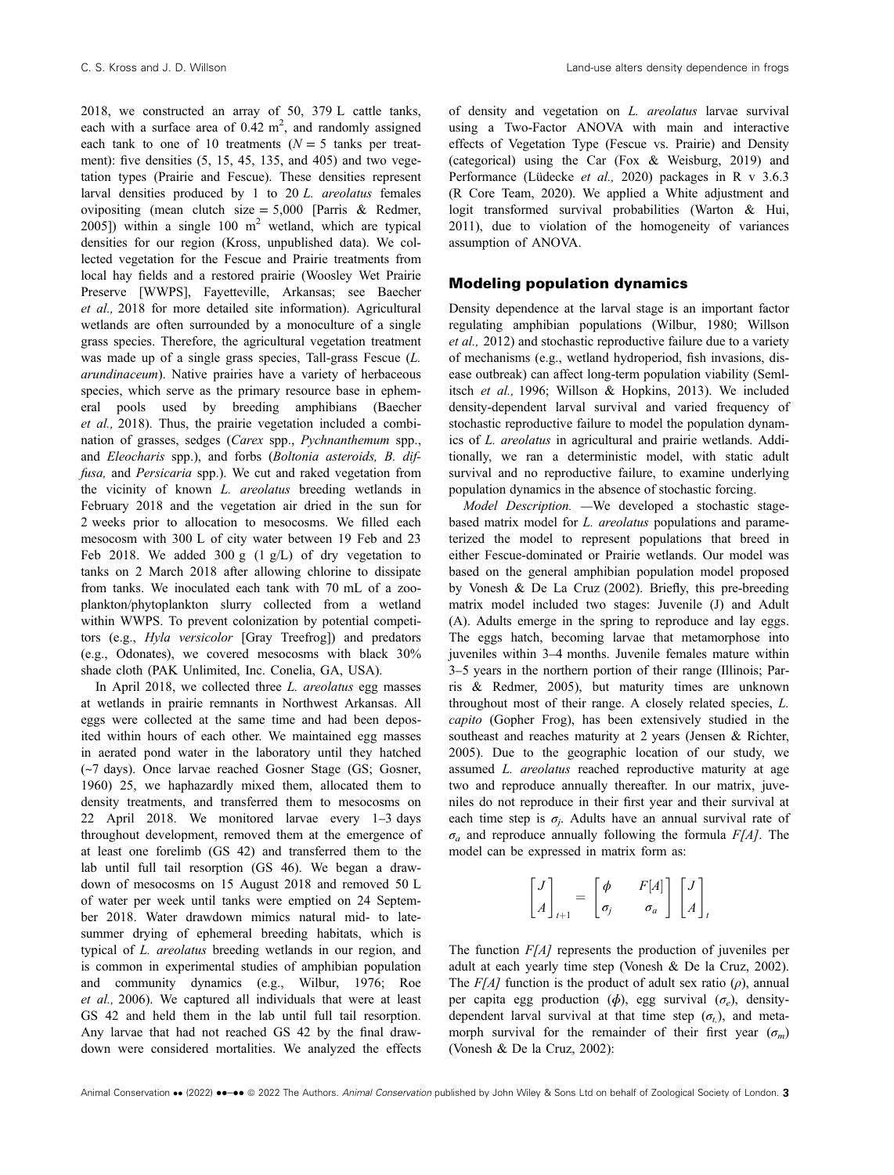2018, we constructed an array of 50, 379 L cattle tanks, each with a surface area of  $0.42 \text{ m}^2$ , and randomly assigned each tank to one of 10 treatments ( $N = 5$  tanks per treatment): five densities (5, 15, 45, 135, and 405) and two vegetation types (Prairie and Fescue). These densities represent larval densities produced by 1 to 20 L. areolatus females ovipositing (mean clutch size =  $5,000$  [Parris & Redmer, 2005]) within a single 100  $m^2$  wetland, which are typical densities for our region (Kross, unpublished data). We collected vegetation for the Fescue and Prairie treatments from local hay fields and a restored prairie (Woosley Wet Prairie Preserve [WWPS], Fayetteville, Arkansas; see Baecher et al., 2018 for more detailed site information). Agricultural wetlands are often surrounded by a monoculture of a single grass species. Therefore, the agricultural vegetation treatment was made up of a single grass species, Tall-grass Fescue (L. arundinaceum). Native prairies have a variety of herbaceous species, which serve as the primary resource base in ephemeral pools used by breeding amphibians (Baecher et al., 2018). Thus, the prairie vegetation included a combination of grasses, sedges (Carex spp., Pychnanthemum spp., and Eleocharis spp.), and forbs (Boltonia asteroids, B. diffusa, and Persicaria spp.). We cut and raked vegetation from the vicinity of known L. areolatus breeding wetlands in February 2018 and the vegetation air dried in the sun for 2 weeks prior to allocation to mesocosms. We filled each mesocosm with 300 L of city water between 19 Feb and 23 Feb 2018. We added 300 g  $(1 \text{ g/L})$  of dry vegetation to tanks on 2 March 2018 after allowing chlorine to dissipate from tanks. We inoculated each tank with 70 mL of a zooplankton/phytoplankton slurry collected from a wetland within WWPS. To prevent colonization by potential competitors (e.g., Hyla versicolor [Gray Treefrog]) and predators (e.g., Odonates), we covered mesocosms with black 30% shade cloth (PAK Unlimited, Inc. Conelia, GA, USA).

In April 2018, we collected three *L. areolatus* egg masses at wetlands in prairie remnants in Northwest Arkansas. All eggs were collected at the same time and had been deposited within hours of each other. We maintained egg masses in aerated pond water in the laboratory until they hatched (~7 days). Once larvae reached Gosner Stage (GS; Gosner, 1960) 25, we haphazardly mixed them, allocated them to density treatments, and transferred them to mesocosms on 22 April 2018. We monitored larvae every 1–3 days throughout development, removed them at the emergence of at least one forelimb (GS 42) and transferred them to the lab until full tail resorption (GS 46). We began a drawdown of mesocosms on 15 August 2018 and removed 50 L of water per week until tanks were emptied on 24 September 2018. Water drawdown mimics natural mid- to latesummer drying of ephemeral breeding habitats, which is typical of L. areolatus breeding wetlands in our region, and is common in experimental studies of amphibian population and community dynamics (e.g., Wilbur, 1976; Roe et al., 2006). We captured all individuals that were at least GS 42 and held them in the lab until full tail resorption. Any larvae that had not reached GS 42 by the final drawdown were considered mortalities. We analyzed the effects

of density and vegetation on L. areolatus larvae survival using a Two-Factor ANOVA with main and interactive effects of Vegetation Type (Fescue vs. Prairie) and Density (categorical) using the Car (Fox & Weisburg, 2019) and Performance (Lüdecke *et al.*, 2020) packages in R v 3.6.3 (R Core Team, 2020). We applied a White adjustment and logit transformed survival probabilities (Warton & Hui, 2011), due to violation of the homogeneity of variances assumption of ANOVA.

### Modeling population dynamics

Density dependence at the larval stage is an important factor regulating amphibian populations (Wilbur, 1980; Willson et al., 2012) and stochastic reproductive failure due to a variety of mechanisms (e.g., wetland hydroperiod, fish invasions, disease outbreak) can affect long-term population viability (Semlitsch et al., 1996; Willson & Hopkins, 2013). We included density-dependent larval survival and varied frequency of stochastic reproductive failure to model the population dynamics of L. areolatus in agricultural and prairie wetlands. Additionally, we ran a deterministic model, with static adult survival and no reproductive failure, to examine underlying population dynamics in the absence of stochastic forcing.

Model Description. —We developed a stochastic stagebased matrix model for L. areolatus populations and parameterized the model to represent populations that breed in either Fescue-dominated or Prairie wetlands. Our model was based on the general amphibian population model proposed by Vonesh & De La Cruz (2002). Briefly, this pre-breeding matrix model included two stages: Juvenile (J) and Adult (A). Adults emerge in the spring to reproduce and lay eggs. The eggs hatch, becoming larvae that metamorphose into juveniles within 3–4 months. Juvenile females mature within 3–5 years in the northern portion of their range (Illinois; Parris & Redmer, 2005), but maturity times are unknown throughout most of their range. A closely related species, L. capito (Gopher Frog), has been extensively studied in the southeast and reaches maturity at 2 years (Jensen & Richter, 2005). Due to the geographic location of our study, we assumed L. areolatus reached reproductive maturity at age two and reproduce annually thereafter. In our matrix, juveniles do not reproduce in their first year and their survival at each time step is  $\sigma_i$ . Adults have an annual survival rate of  $\sigma_a$  and reproduce annually following the formula  $F[A]$ . The model can be expressed in matrix form as:

$$
\begin{bmatrix} J \\ A \end{bmatrix}_{t+1} = \begin{bmatrix} \phi & F[A] \\ \sigma_j & \sigma_a \end{bmatrix} \begin{bmatrix} J \\ A \end{bmatrix}_{t}
$$

The function  $F[A]$  represents the production of juveniles per adult at each yearly time step (Vonesh & De la Cruz, 2002). The  $F[A]$  function is the product of adult sex ratio ( $\rho$ ), annual per capita egg production ( $\phi$ ), egg survival ( $\sigma$ <sub>e</sub>), densitydependent larval survival at that time step  $(\sigma_t)$ , and metamorph survival for the remainder of their first year  $(\sigma_m)$ (Vonesh & De la Cruz, 2002):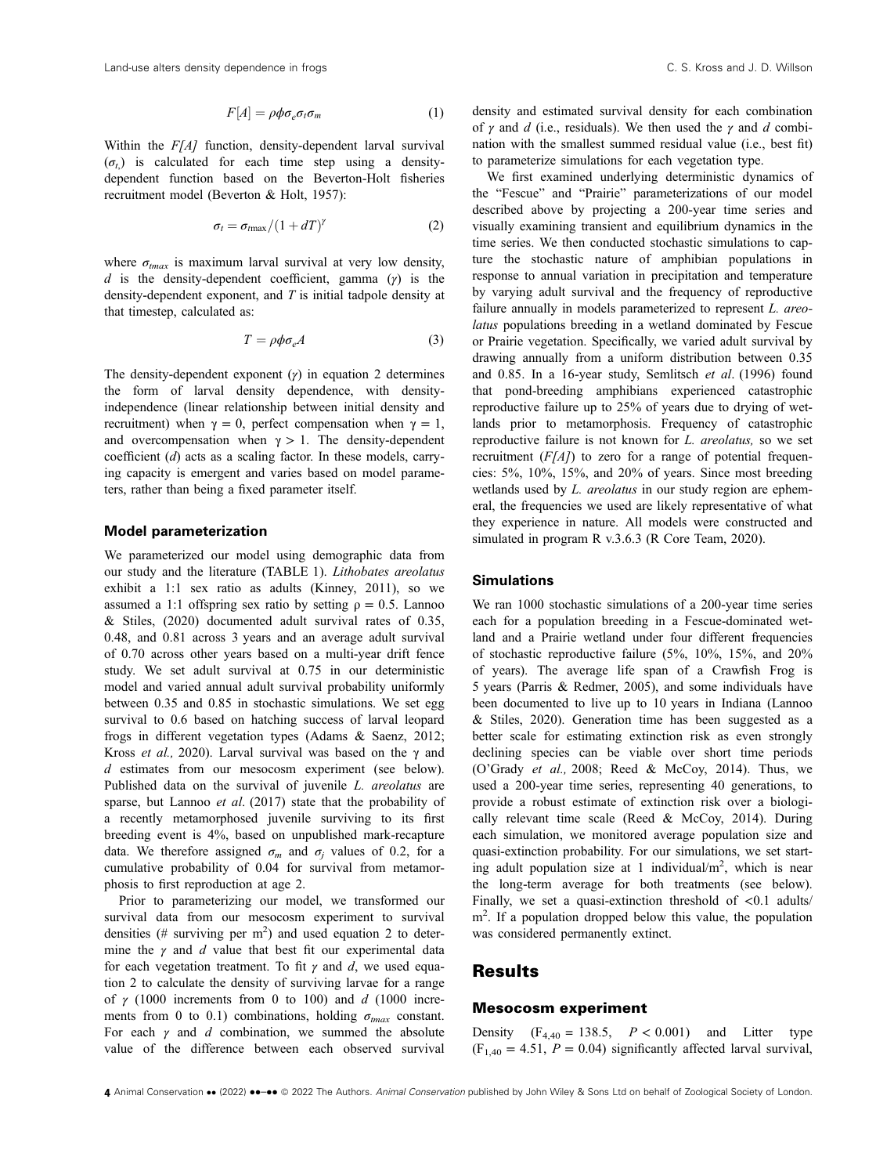$$
F[A] = \rho \phi \sigma_e \sigma_t \sigma_m \tag{1}
$$

Within the  $F[A]$  function, density-dependent larval survival  $(\sigma_t)$  is calculated for each time step using a densitydependent function based on the Beverton-Holt fisheries recruitment model (Beverton & Holt, 1957):

$$
\sigma_t = \sigma_{tmax}/(1+dT)^\gamma \tag{2}
$$

where  $\sigma_{tmax}$  is maximum larval survival at very low density, d is the density-dependent coefficient, gamma  $(y)$  is the density-dependent exponent, and T is initial tadpole density at that timestep, calculated as:

$$
T = \rho \phi \sigma_e A \tag{3}
$$

The density-dependent exponent  $(y)$  in equation 2 determines the form of larval density dependence, with densityindependence (linear relationship between initial density and recruitment) when  $\gamma = 0$ , perfect compensation when  $\gamma = 1$ , and overcompensation when  $\gamma > 1$ . The density-dependent coefficient (d) acts as a scaling factor. In these models, carrying capacity is emergent and varies based on model parameters, rather than being a fixed parameter itself.

#### Model parameterization

We parameterized our model using demographic data from our study and the literature (TABLE 1). Lithobates areolatus exhibit a 1:1 sex ratio as adults (Kinney, 2011), so we assumed a 1:1 offspring sex ratio by setting  $\rho = 0.5$ . Lannoo & Stiles, (2020) documented adult survival rates of 0.35, 0.48, and 0.81 across 3 years and an average adult survival of 0.70 across other years based on a multi-year drift fence study. We set adult survival at 0.75 in our deterministic model and varied annual adult survival probability uniformly between 0.35 and 0.85 in stochastic simulations. We set egg survival to 0.6 based on hatching success of larval leopard frogs in different vegetation types (Adams & Saenz, 2012; Kross et al., 2020). Larval survival was based on the  $\gamma$  and d estimates from our mesocosm experiment (see below). Published data on the survival of juvenile *L. areolatus* are sparse, but Lannoo et al. (2017) state that the probability of a recently metamorphosed juvenile surviving to its first breeding event is 4%, based on unpublished mark-recapture data. We therefore assigned  $\sigma_m$  and  $\sigma_j$  values of 0.2, for a cumulative probability of 0.04 for survival from metamorphosis to first reproduction at age 2.

Prior to parameterizing our model, we transformed our survival data from our mesocosm experiment to survival densities (# surviving per  $m^2$ ) and used equation 2 to determine the  $\gamma$  and  $d$  value that best fit our experimental data for each vegetation treatment. To fit  $\gamma$  and d, we used equation 2 to calculate the density of surviving larvae for a range of  $\gamma$  (1000 increments from 0 to 100) and d (1000 increments from 0 to 0.1) combinations, holding  $\sigma_{tmax}$  constant. For each  $\gamma$  and d combination, we summed the absolute value of the difference between each observed survival density and estimated survival density for each combination of  $\gamma$  and d (i.e., residuals). We then used the  $\gamma$  and d combination with the smallest summed residual value (i.e., best fit) to parameterize simulations for each vegetation type.

We first examined underlying deterministic dynamics of the "Fescue" and "Prairie" parameterizations of our model described above by projecting a 200-year time series and visually examining transient and equilibrium dynamics in the time series. We then conducted stochastic simulations to capture the stochastic nature of amphibian populations in response to annual variation in precipitation and temperature by varying adult survival and the frequency of reproductive failure annually in models parameterized to represent *L. areo*latus populations breeding in a wetland dominated by Fescue or Prairie vegetation. Specifically, we varied adult survival by drawing annually from a uniform distribution between 0.35 and 0.85. In a 16-year study, Semlitsch et al. (1996) found that pond-breeding amphibians experienced catastrophic reproductive failure up to 25% of years due to drying of wetlands prior to metamorphosis. Frequency of catastrophic reproductive failure is not known for L. areolatus, so we set recruitment  $(F[A])$  to zero for a range of potential frequencies: 5%, 10%, 15%, and 20% of years. Since most breeding wetlands used by *L. areolatus* in our study region are ephemeral, the frequencies we used are likely representative of what they experience in nature. All models were constructed and simulated in program R v.3.6.3 (R Core Team, 2020).

#### **Simulations**

We ran 1000 stochastic simulations of a 200-year time series each for a population breeding in a Fescue-dominated wetland and a Prairie wetland under four different frequencies of stochastic reproductive failure (5%, 10%, 15%, and 20% of years). The average life span of a Crawfish Frog is 5 years (Parris & Redmer, 2005), and some individuals have been documented to live up to 10 years in Indiana (Lannoo & Stiles, 2020). Generation time has been suggested as a better scale for estimating extinction risk as even strongly declining species can be viable over short time periods (O'Grady et al., 2008; Reed & McCoy, 2014). Thus, we used a 200-year time series, representing 40 generations, to provide a robust estimate of extinction risk over a biologically relevant time scale (Reed & McCoy, 2014). During each simulation, we monitored average population size and quasi-extinction probability. For our simulations, we set starting adult population size at 1 individual/ $m^2$ , which is near the long-term average for both treatments (see below). Finally, we set a quasi-extinction threshold of  $\langle 0.1 \text{ adults} \rangle$ m<sup>2</sup>. If a population dropped below this value, the population was considered permanently extinct.

# **Results**

### Mesocosm experiment

Density  $(F_{4,40} = 138.5, P < 0.001)$  and Litter type  $(F<sub>1,40</sub> = 4.51, P = 0.04)$  significantly affected larval survival,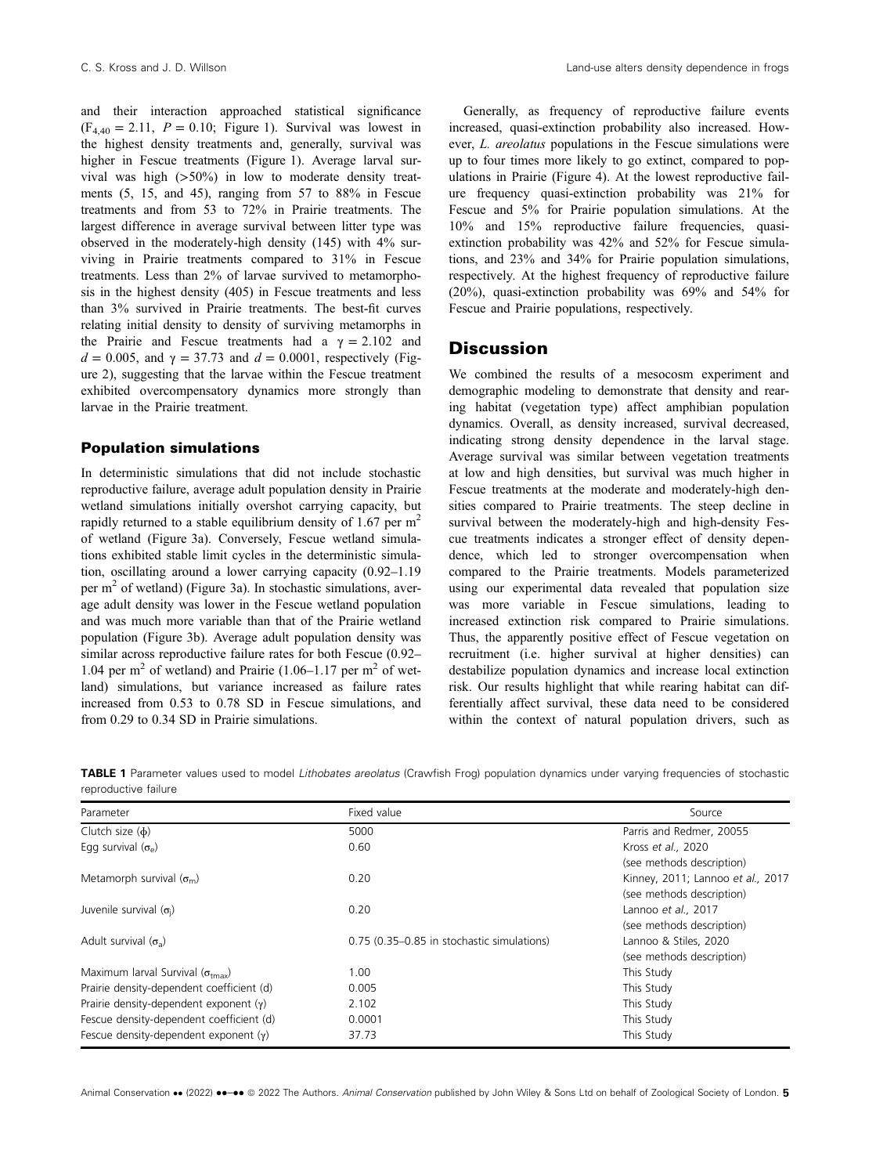and their interaction approached statistical significance  $(F_{4,40} = 2.11, P = 0.10;$  Figure 1). Survival was lowest in the highest density treatments and, generally, survival was higher in Fescue treatments (Figure 1). Average larval survival was high (>50%) in low to moderate density treatments (5, 15, and 45), ranging from 57 to 88% in Fescue treatments and from 53 to 72% in Prairie treatments. The largest difference in average survival between litter type was observed in the moderately-high density (145) with 4% surviving in Prairie treatments compared to 31% in Fescue treatments. Less than 2% of larvae survived to metamorphosis in the highest density (405) in Fescue treatments and less than 3% survived in Prairie treatments. The best-fit curves relating initial density to density of surviving metamorphs in the Prairie and Fescue treatments had a  $\gamma = 2.102$  and  $d = 0.005$ , and  $\gamma = 37.73$  and  $d = 0.0001$ , respectively (Figure 2), suggesting that the larvae within the Fescue treatment exhibited overcompensatory dynamics more strongly than larvae in the Prairie treatment.

### Population simulations

In deterministic simulations that did not include stochastic reproductive failure, average adult population density in Prairie wetland simulations initially overshot carrying capacity, but rapidly returned to a stable equilibrium density of 1.67 per  $m<sup>2</sup>$ of wetland (Figure 3a). Conversely, Fescue wetland simulations exhibited stable limit cycles in the deterministic simulation, oscillating around a lower carrying capacity (0.92–1.19 per  $m<sup>2</sup>$  of wetland) (Figure 3a). In stochastic simulations, average adult density was lower in the Fescue wetland population and was much more variable than that of the Prairie wetland population (Figure 3b). Average adult population density was similar across reproductive failure rates for both Fescue (0.92– 1.04 per  $m<sup>2</sup>$  of wetland) and Prairie (1.06–1.17 per  $m<sup>2</sup>$  of wetland) simulations, but variance increased as failure rates increased from 0.53 to 0.78 SD in Fescue simulations, and from 0.29 to 0.34 SD in Prairie simulations.

Generally, as frequency of reproductive failure events increased, quasi-extinction probability also increased. However, L. areolatus populations in the Fescue simulations were up to four times more likely to go extinct, compared to populations in Prairie (Figure 4). At the lowest reproductive failure frequency quasi-extinction probability was 21% for Fescue and 5% for Prairie population simulations. At the 10% and 15% reproductive failure frequencies, quasiextinction probability was 42% and 52% for Fescue simulations, and 23% and 34% for Prairie population simulations, respectively. At the highest frequency of reproductive failure (20%), quasi-extinction probability was 69% and 54% for Fescue and Prairie populations, respectively.

# **Discussion**

We combined the results of a mesocosm experiment and demographic modeling to demonstrate that density and rearing habitat (vegetation type) affect amphibian population dynamics. Overall, as density increased, survival decreased, indicating strong density dependence in the larval stage. Average survival was similar between vegetation treatments at low and high densities, but survival was much higher in Fescue treatments at the moderate and moderately-high densities compared to Prairie treatments. The steep decline in survival between the moderately-high and high-density Fescue treatments indicates a stronger effect of density dependence, which led to stronger overcompensation when compared to the Prairie treatments. Models parameterized using our experimental data revealed that population size was more variable in Fescue simulations, leading to increased extinction risk compared to Prairie simulations. Thus, the apparently positive effect of Fescue vegetation on recruitment (i.e. higher survival at higher densities) can destabilize population dynamics and increase local extinction risk. Our results highlight that while rearing habitat can differentially affect survival, these data need to be considered within the context of natural population drivers, such as

TABLE 1 Parameter values used to model Lithobates areolatus (Crawfish Frog) population dynamics under varying frequencies of stochastic reproductive failure

| Parameter                                        | Fixed value                                | Source                            |
|--------------------------------------------------|--------------------------------------------|-----------------------------------|
| Clutch size $(\phi)$                             | 5000                                       | Parris and Redmer, 20055          |
| Egg survival $(\sigma_{\alpha})$                 | 0.60                                       | Kross et al., 2020                |
|                                                  |                                            | (see methods description)         |
| Metamorph survival $(\sigma_m)$                  | 0.20                                       | Kinney, 2011; Lannoo et al., 2017 |
|                                                  |                                            | (see methods description)         |
| Juvenile survival $(\sigma_i)$                   | 0.20                                       | Lannoo et al., 2017               |
|                                                  |                                            | (see methods description)         |
| Adult survival $(\sigma_{\rm a})$                | 0.75 (0.35-0.85 in stochastic simulations) | Lannoo & Stiles, 2020             |
|                                                  |                                            | (see methods description)         |
| Maximum larval Survival $(\sigma_{\text{tmax}})$ | 1.00                                       | This Study                        |
| Prairie density-dependent coefficient (d)        | 0.005                                      | This Study                        |
| Prairie density-dependent exponent $(y)$         | 2.102                                      | This Study                        |
| Fescue density-dependent coefficient (d)         | 0.0001                                     | This Study                        |
| Fescue density-dependent exponent $(y)$          | 37.73                                      | This Study                        |

Animal Conservation •• (2022) ••-•• © 2022 The Authors. Animal Conservation published by John Wiley & Sons Ltd on behalf of Zoological Society of London. 5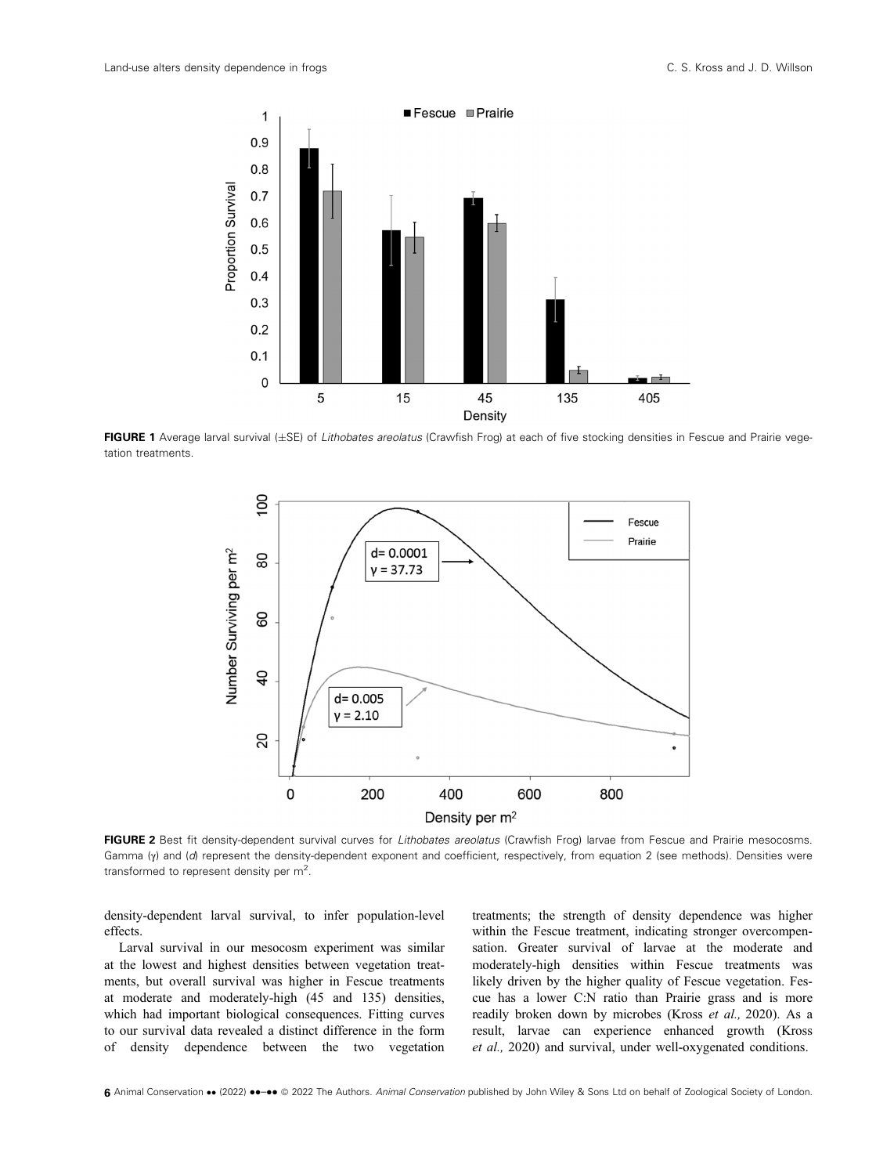

FIGURE 1 Average larval survival (±SE) of Lithobates areolatus (Crawfish Frog) at each of five stocking densities in Fescue and Prairie vegetation treatments.



FIGURE 2 Best fit density-dependent survival curves for Lithobates areolatus (Crawfish Frog) larvae from Fescue and Prairie mesocosms. Gamma (γ) and (d) represent the density-dependent exponent and coefficient, respectively, from equation 2 (see methods). Densities were transformed to represent density per  $m^2$ .

density-dependent larval survival, to infer population-level effects.

Larval survival in our mesocosm experiment was similar at the lowest and highest densities between vegetation treatments, but overall survival was higher in Fescue treatments at moderate and moderately-high (45 and 135) densities, which had important biological consequences. Fitting curves to our survival data revealed a distinct difference in the form of density dependence between the two vegetation treatments; the strength of density dependence was higher within the Fescue treatment, indicating stronger overcompensation. Greater survival of larvae at the moderate and moderately-high densities within Fescue treatments was likely driven by the higher quality of Fescue vegetation. Fescue has a lower C:N ratio than Prairie grass and is more readily broken down by microbes (Kross et al., 2020). As a result, larvae can experience enhanced growth (Kross et al., 2020) and survival, under well-oxygenated conditions.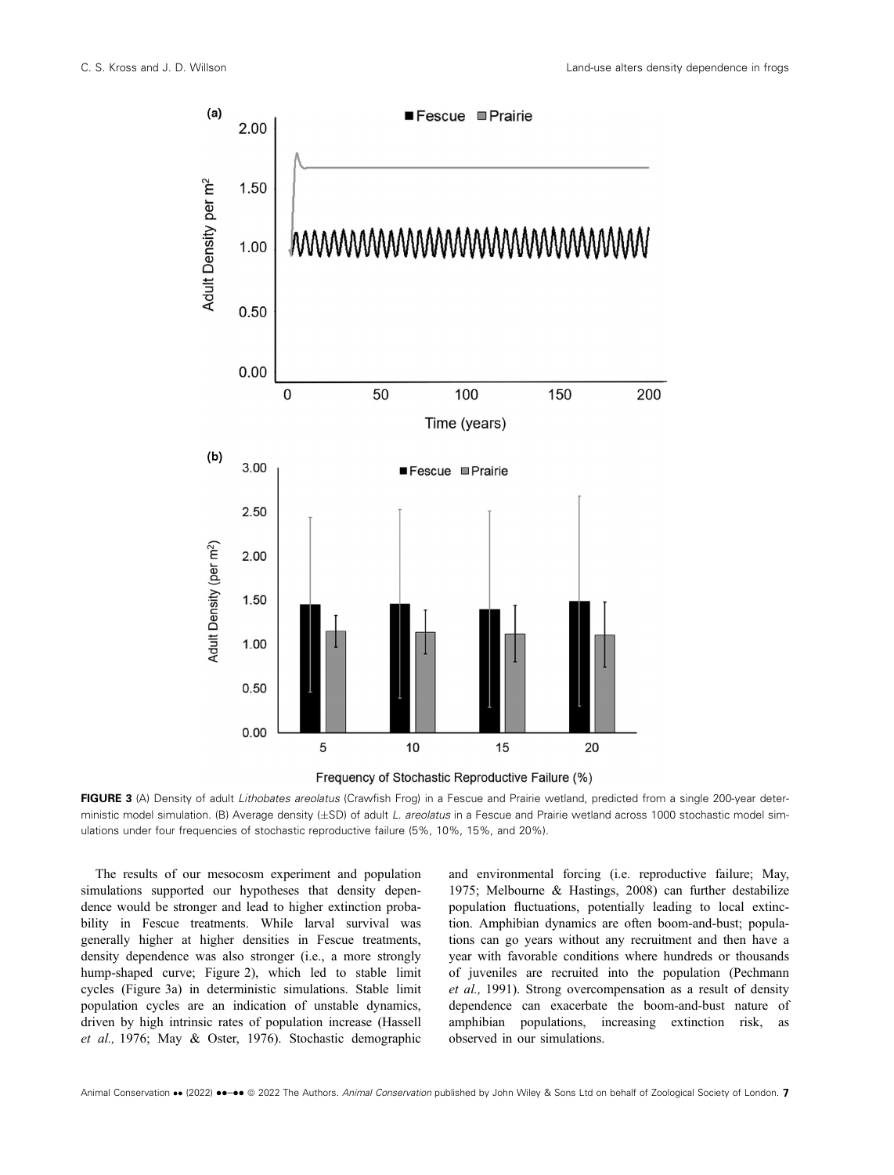



FIGURE 3 (A) Density of adult Lithobates areolatus (Crawfish Frog) in a Fescue and Prairie wetland, predicted from a single 200-year deterministic model simulation. (B) Average density (±SD) of adult L. areolatus in a Fescue and Prairie wetland across 1000 stochastic model simulations under four frequencies of stochastic reproductive failure (5%, 10%, 15%, and 20%).

The results of our mesocosm experiment and population simulations supported our hypotheses that density dependence would be stronger and lead to higher extinction probability in Fescue treatments. While larval survival was generally higher at higher densities in Fescue treatments, density dependence was also stronger (i.e., a more strongly hump-shaped curve; Figure 2), which led to stable limit cycles (Figure 3a) in deterministic simulations. Stable limit population cycles are an indication of unstable dynamics, driven by high intrinsic rates of population increase (Hassell et al., 1976; May & Oster, 1976). Stochastic demographic and environmental forcing (i.e. reproductive failure; May, 1975; Melbourne & Hastings, 2008) can further destabilize population fluctuations, potentially leading to local extinction. Amphibian dynamics are often boom-and-bust; populations can go years without any recruitment and then have a year with favorable conditions where hundreds or thousands of juveniles are recruited into the population (Pechmann et al., 1991). Strong overcompensation as a result of density dependence can exacerbate the boom-and-bust nature of amphibian populations, increasing extinction risk, as observed in our simulations.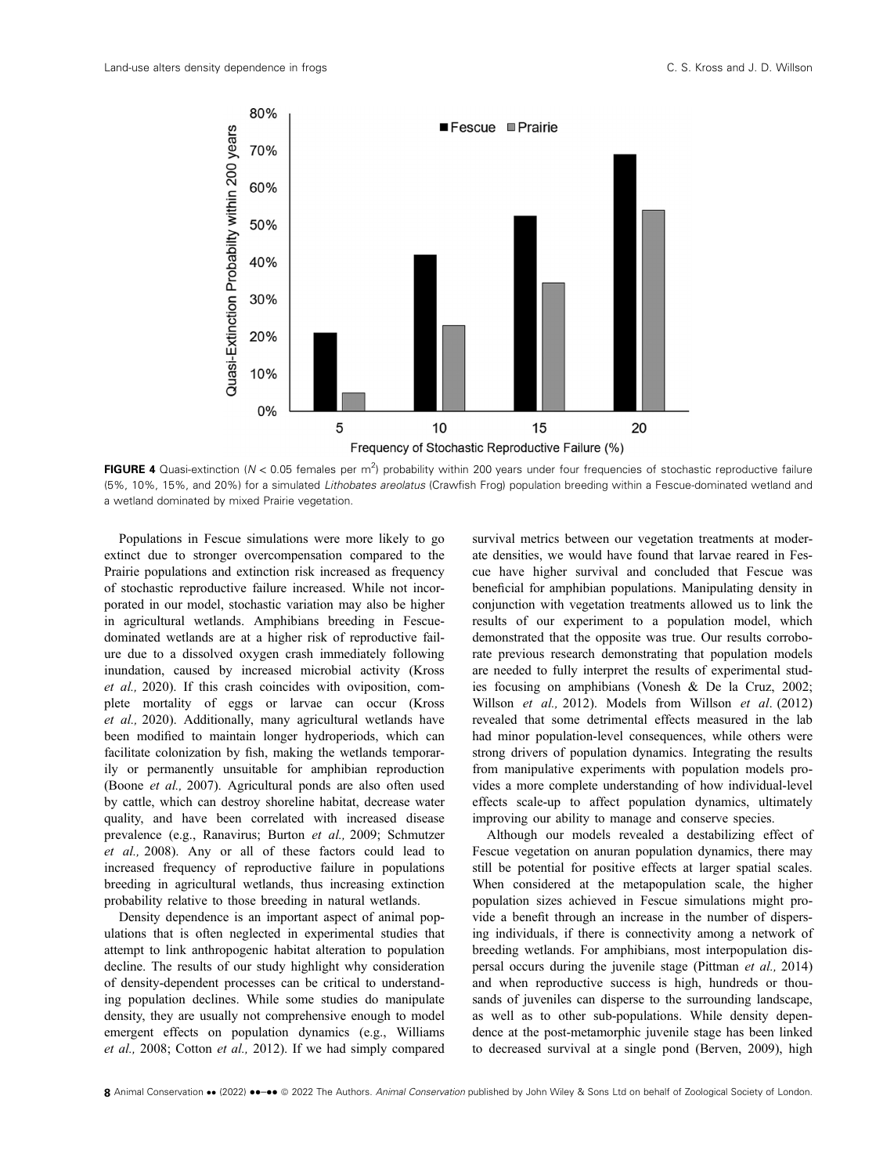

FIGURE 4 Quasi-extinction (N < 0.05 females per m<sup>2</sup>) probability within 200 years under four frequencies of stochastic reproductive failure (5%, 10%, 15%, and 20%) for a simulated Lithobates areolatus (Crawfish Frog) population breeding within a Fescue-dominated wetland and a wetland dominated by mixed Prairie vegetation.

Populations in Fescue simulations were more likely to go extinct due to stronger overcompensation compared to the Prairie populations and extinction risk increased as frequency of stochastic reproductive failure increased. While not incorporated in our model, stochastic variation may also be higher in agricultural wetlands. Amphibians breeding in Fescuedominated wetlands are at a higher risk of reproductive failure due to a dissolved oxygen crash immediately following inundation, caused by increased microbial activity (Kross et al., 2020). If this crash coincides with oviposition, complete mortality of eggs or larvae can occur (Kross et al., 2020). Additionally, many agricultural wetlands have been modified to maintain longer hydroperiods, which can facilitate colonization by fish, making the wetlands temporarily or permanently unsuitable for amphibian reproduction (Boone et al., 2007). Agricultural ponds are also often used by cattle, which can destroy shoreline habitat, decrease water quality, and have been correlated with increased disease prevalence (e.g., Ranavirus; Burton et al., 2009; Schmutzer et al., 2008). Any or all of these factors could lead to increased frequency of reproductive failure in populations breeding in agricultural wetlands, thus increasing extinction probability relative to those breeding in natural wetlands.

Density dependence is an important aspect of animal populations that is often neglected in experimental studies that attempt to link anthropogenic habitat alteration to population decline. The results of our study highlight why consideration of density-dependent processes can be critical to understanding population declines. While some studies do manipulate density, they are usually not comprehensive enough to model emergent effects on population dynamics (e.g., Williams et al., 2008; Cotton et al., 2012). If we had simply compared survival metrics between our vegetation treatments at moderate densities, we would have found that larvae reared in Fescue have higher survival and concluded that Fescue was beneficial for amphibian populations. Manipulating density in conjunction with vegetation treatments allowed us to link the results of our experiment to a population model, which demonstrated that the opposite was true. Our results corroborate previous research demonstrating that population models are needed to fully interpret the results of experimental studies focusing on amphibians (Vonesh & De la Cruz, 2002; Willson et al., 2012). Models from Willson et al. (2012) revealed that some detrimental effects measured in the lab had minor population-level consequences, while others were strong drivers of population dynamics. Integrating the results from manipulative experiments with population models provides a more complete understanding of how individual-level effects scale-up to affect population dynamics, ultimately improving our ability to manage and conserve species.

Although our models revealed a destabilizing effect of Fescue vegetation on anuran population dynamics, there may still be potential for positive effects at larger spatial scales. When considered at the metapopulation scale, the higher population sizes achieved in Fescue simulations might provide a benefit through an increase in the number of dispersing individuals, if there is connectivity among a network of breeding wetlands. For amphibians, most interpopulation dispersal occurs during the juvenile stage (Pittman et al., 2014) and when reproductive success is high, hundreds or thousands of juveniles can disperse to the surrounding landscape, as well as to other sub-populations. While density dependence at the post-metamorphic juvenile stage has been linked to decreased survival at a single pond (Berven, 2009), high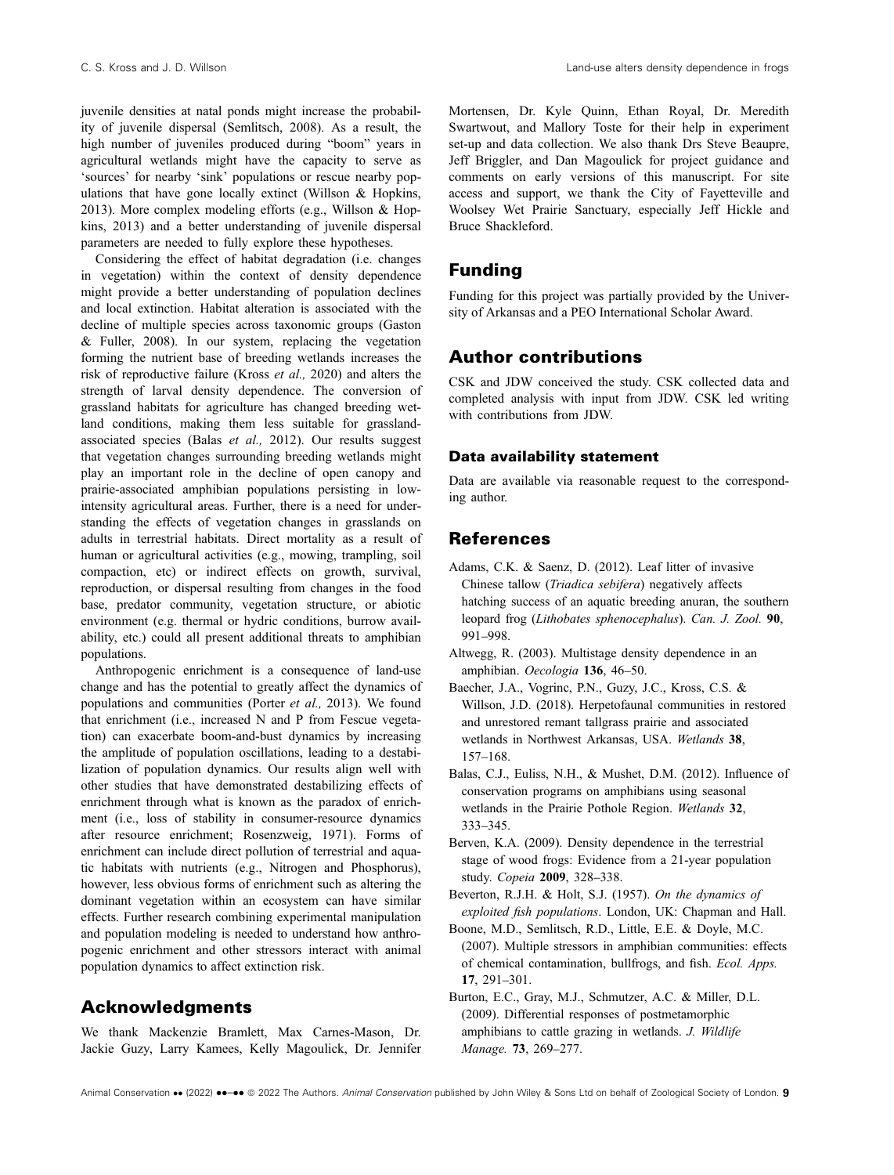juvenile densities at natal ponds might increase the probability of juvenile dispersal (Semlitsch, 2008). As a result, the high number of juveniles produced during "boom" years in agricultural wetlands might have the capacity to serve as 'sources' for nearby 'sink' populations or rescue nearby populations that have gone locally extinct (Willson & Hopkins, 2013). More complex modeling efforts (e.g., Willson & Hopkins, 2013) and a better understanding of juvenile dispersal parameters are needed to fully explore these hypotheses.

Considering the effect of habitat degradation (i.e. changes in vegetation) within the context of density dependence might provide a better understanding of population declines and local extinction. Habitat alteration is associated with the decline of multiple species across taxonomic groups (Gaston & Fuller, 2008). In our system, replacing the vegetation forming the nutrient base of breeding wetlands increases the risk of reproductive failure (Kross et al., 2020) and alters the strength of larval density dependence. The conversion of grassland habitats for agriculture has changed breeding wetland conditions, making them less suitable for grasslandassociated species (Balas et al., 2012). Our results suggest that vegetation changes surrounding breeding wetlands might play an important role in the decline of open canopy and prairie-associated amphibian populations persisting in lowintensity agricultural areas. Further, there is a need for understanding the effects of vegetation changes in grasslands on adults in terrestrial habitats. Direct mortality as a result of human or agricultural activities (e.g., mowing, trampling, soil compaction, etc) or indirect effects on growth, survival, reproduction, or dispersal resulting from changes in the food base, predator community, vegetation structure, or abiotic environment (e.g. thermal or hydric conditions, burrow availability, etc.) could all present additional threats to amphibian populations.

Anthropogenic enrichment is a consequence of land-use change and has the potential to greatly affect the dynamics of populations and communities (Porter et al., 2013). We found that enrichment (i.e., increased N and P from Fescue vegetation) can exacerbate boom-and-bust dynamics by increasing the amplitude of population oscillations, leading to a destabilization of population dynamics. Our results align well with other studies that have demonstrated destabilizing effects of enrichment through what is known as the paradox of enrichment (i.e., loss of stability in consumer-resource dynamics after resource enrichment; Rosenzweig, 1971). Forms of enrichment can include direct pollution of terrestrial and aquatic habitats with nutrients (e.g., Nitrogen and Phosphorus), however, less obvious forms of enrichment such as altering the dominant vegetation within an ecosystem can have similar effects. Further research combining experimental manipulation and population modeling is needed to understand how anthropogenic enrichment and other stressors interact with animal population dynamics to affect extinction risk.

# Acknowledgments

We thank Mackenzie Bramlett, Max Carnes-Mason, Dr. Jackie Guzy, Larry Kamees, Kelly Magoulick, Dr. Jennifer Mortensen, Dr. Kyle Quinn, Ethan Royal, Dr. Meredith Swartwout, and Mallory Toste for their help in experiment set-up and data collection. We also thank Drs Steve Beaupre, Jeff Briggler, and Dan Magoulick for project guidance and comments on early versions of this manuscript. For site access and support, we thank the City of Fayetteville and Woolsey Wet Prairie Sanctuary, especially Jeff Hickle and Bruce Shackleford.

# Funding

Funding for this project was partially provided by the University of Arkansas and a PEO International Scholar Award.

# Author contributions

CSK and JDW conceived the study. CSK collected data and completed analysis with input from JDW. CSK led writing with contributions from JDW.

### Data availability statement

Data are available via reasonable request to the corresponding author.

# References

- Adams, C.K. & Saenz, D. (2012). Leaf litter of invasive Chinese tallow (Triadica sebifera) negatively affects hatching success of an aquatic breeding anuran, the southern leopard frog (Lithobates sphenocephalus). Can. J. Zool. 90, 991–998.
- Altwegg, R. (2003). Multistage density dependence in an amphibian. Oecologia 136, 46–50.
- Baecher, J.A., Vogrinc, P.N., Guzy, J.C., Kross, C.S. & Willson, J.D. (2018). Herpetofaunal communities in restored and unrestored remant tallgrass prairie and associated wetlands in Northwest Arkansas, USA. Wetlands 38, 157–168.
- Balas, C.J., Euliss, N.H., & Mushet, D.M. (2012). Influence of conservation programs on amphibians using seasonal wetlands in the Prairie Pothole Region. Wetlands 32, 333–345.
- Berven, K.A. (2009). Density dependence in the terrestrial stage of wood frogs: Evidence from a 21-year population study. Copeia 2009, 328–338.
- Beverton, R.J.H. & Holt, S.J. (1957). On the dynamics of exploited fish populations. London, UK: Chapman and Hall.
- Boone, M.D., Semlitsch, R.D., Little, E.E. & Doyle, M.C. (2007). Multiple stressors in amphibian communities: effects of chemical contamination, bullfrogs, and fish. Ecol. Apps. 17, 291–301.
- Burton, E.C., Gray, M.J., Schmutzer, A.C. & Miller, D.L. (2009). Differential responses of postmetamorphic amphibians to cattle grazing in wetlands. J. Wildlife Manage. 73, 269–277.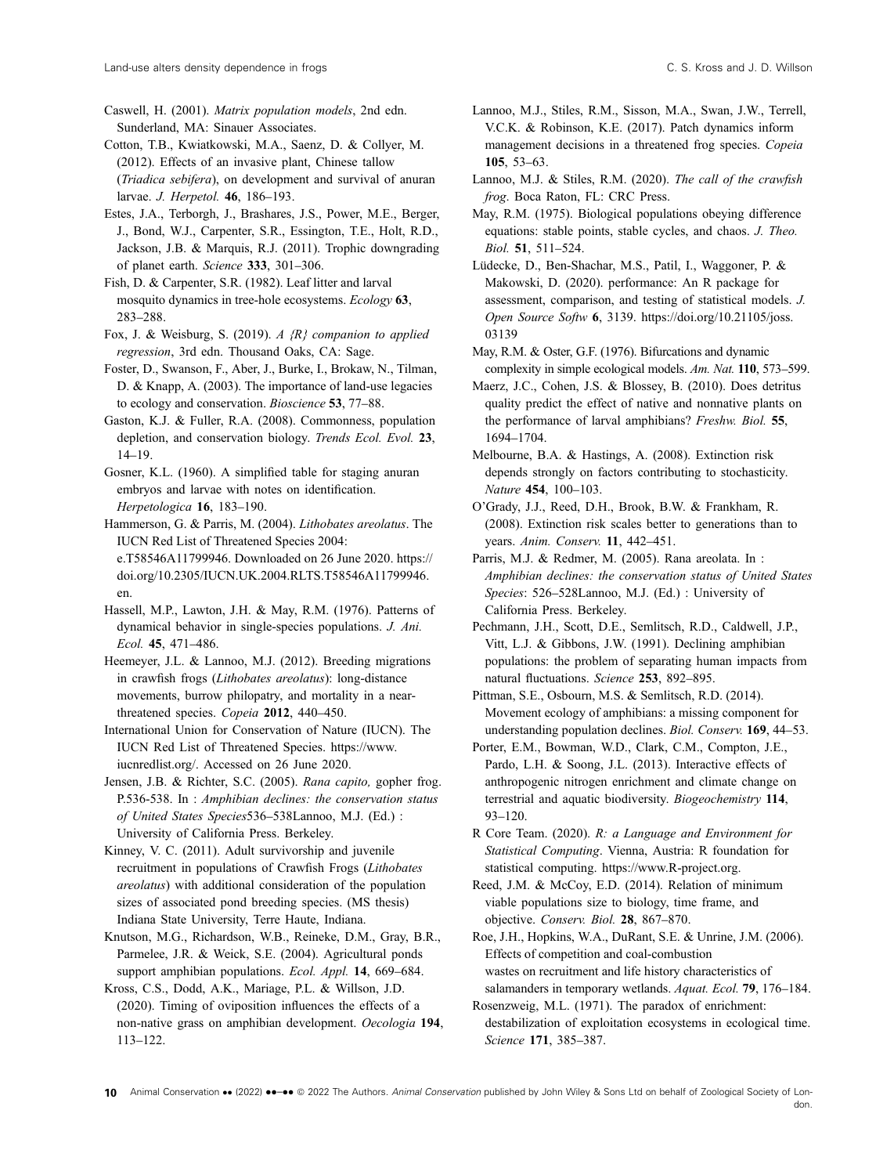Caswell, H. (2001). Matrix population models, 2nd edn. Sunderland, MA: Sinauer Associates.

- Cotton, T.B., Kwiatkowski, M.A., Saenz, D. & Collyer, M. (2012). Effects of an invasive plant, Chinese tallow (Triadica sebifera), on development and survival of anuran larvae. J. Herpetol. 46, 186–193.
- Estes, J.A., Terborgh, J., Brashares, J.S., Power, M.E., Berger, J., Bond, W.J., Carpenter, S.R., Essington, T.E., Holt, R.D., Jackson, J.B. & Marquis, R.J. (2011). Trophic downgrading of planet earth. Science 333, 301–306.
- Fish, D. & Carpenter, S.R. (1982). Leaf litter and larval mosquito dynamics in tree-hole ecosystems. Ecology 63, 283–288.

Fox, J. & Weisburg, S. (2019). A  $\{R\}$  companion to applied regression, 3rd edn. Thousand Oaks, CA: Sage.

- Foster, D., Swanson, F., Aber, J., Burke, I., Brokaw, N., Tilman, D. & Knapp, A. (2003). The importance of land-use legacies to ecology and conservation. Bioscience 53, 77–88.
- Gaston, K.J. & Fuller, R.A. (2008). Commonness, population depletion, and conservation biology. Trends Ecol. Evol. 23, 14–19.

Gosner, K.L. (1960). A simplified table for staging anuran embryos and larvae with notes on identification. Herpetologica 16, 183–190.

Hammerson, G. & Parris, M. (2004). Lithobates areolatus. The IUCN Red List of Threatened Species 2004: e.T58546A11799946. Downloaded on 26 June 2020. [https://](https://doi.org/10.2305/IUCN.UK.2004.RLTS.T58546A11799946.en) [doi.org/10.2305/IUCN.UK.2004.RLTS.T58546A11799946.](https://doi.org/10.2305/IUCN.UK.2004.RLTS.T58546A11799946.en) [en](https://doi.org/10.2305/IUCN.UK.2004.RLTS.T58546A11799946.en).

Hassell, M.P., Lawton, J.H. & May, R.M. (1976). Patterns of dynamical behavior in single-species populations. J. Ani. Ecol. 45, 471–486.

Heemeyer, J.L. & Lannoo, M.J. (2012). Breeding migrations in crawfish frogs (Lithobates areolatus): long-distance movements, burrow philopatry, and mortality in a nearthreatened species. Copeia 2012, 440–450.

International Union for Conservation of Nature (IUCN). The IUCN Red List of Threatened Species. [https://www.](https://www.iucnredlist.org/) [iucnredlist.org/](https://www.iucnredlist.org/). Accessed on 26 June 2020.

Jensen, J.B. & Richter, S.C. (2005). Rana capito, gopher frog. P.536-538. In : Amphibian declines: the conservation status of United States Species536–538Lannoo, M.J. (Ed.) : University of California Press. Berkeley.

Kinney, V. C. (2011). Adult survivorship and juvenile recruitment in populations of Crawfish Frogs (Lithobates areolatus) with additional consideration of the population sizes of associated pond breeding species. (MS thesis) Indiana State University, Terre Haute, Indiana.

Knutson, M.G., Richardson, W.B., Reineke, D.M., Gray, B.R., Parmelee, J.R. & Weick, S.E. (2004). Agricultural ponds support amphibian populations. Ecol. Appl. 14, 669–684.

Kross, C.S., Dodd, A.K., Mariage, P.L. & Willson, J.D. (2020). Timing of oviposition influences the effects of a non-native grass on amphibian development. Oecologia 194, 113–122.

- Lannoo, M.J., Stiles, R.M., Sisson, M.A., Swan, J.W., Terrell, V.C.K. & Robinson, K.E. (2017). Patch dynamics inform management decisions in a threatened frog species. Copeia 105, 53–63.
- Lannoo, M.J. & Stiles, R.M. (2020). The call of the crawfish frog. Boca Raton, FL: CRC Press.
- May, R.M. (1975). Biological populations obeying difference equations: stable points, stable cycles, and chaos. J. Theo. Biol. 51, 511–524.
- Lüdecke, D., Ben-Shachar, M.S., Patil, I., Waggoner, P. & Makowski, D. (2020). performance: An R package for assessment, comparison, and testing of statistical models. J. Open Source Softw 6, 3139. [https://doi.org/10.21105/joss.](https://doi.org/10.21105/joss.03139) [03139](https://doi.org/10.21105/joss.03139)
- May, R.M. & Oster, G.F. (1976). Bifurcations and dynamic complexity in simple ecological models. Am. Nat. 110, 573–599.
- Maerz, J.C., Cohen, J.S. & Blossey, B. (2010). Does detritus quality predict the effect of native and nonnative plants on the performance of larval amphibians? Freshw. Biol. 55, 1694–1704.
- Melbourne, B.A. & Hastings, A. (2008). Extinction risk depends strongly on factors contributing to stochasticity. Nature 454, 100–103.
- O'Grady, J.J., Reed, D.H., Brook, B.W. & Frankham, R. (2008). Extinction risk scales better to generations than to years. Anim. Conserv. 11, 442–451.
- Parris, M.J. & Redmer, M. (2005). Rana areolata. In : Amphibian declines: the conservation status of United States Species: 526-528Lannoo, M.J. (Ed.) : University of California Press. Berkeley.
- Pechmann, J.H., Scott, D.E., Semlitsch, R.D., Caldwell, J.P., Vitt, L.J. & Gibbons, J.W. (1991). Declining amphibian populations: the problem of separating human impacts from natural fluctuations. Science 253, 892–895.

Pittman, S.E., Osbourn, M.S. & Semlitsch, R.D. (2014). Movement ecology of amphibians: a missing component for understanding population declines. Biol. Conserv. 169, 44–53.

- Porter, E.M., Bowman, W.D., Clark, C.M., Compton, J.E., Pardo, L.H. & Soong, J.L. (2013). Interactive effects of anthropogenic nitrogen enrichment and climate change on terrestrial and aquatic biodiversity. Biogeochemistry 114, 93–120.
- R Core Team. (2020). R: a Language and Environment for Statistical Computing. Vienna, Austria: R foundation for statistical computing. [https://www.R-project.org.](https://www.r-project.org)

Reed, J.M. & McCoy, E.D. (2014). Relation of minimum viable populations size to biology, time frame, and objective. Conserv. Biol. 28, 867–870.

Roe, J.H., Hopkins, W.A., DuRant, S.E. & Unrine, J.M. (2006). Effects of competition and coal-combustion wastes on recruitment and life history characteristics of salamanders in temporary wetlands. Aquat. Ecol. 79, 176–184.

Rosenzweig, M.L. (1971). The paradox of enrichment: destabilization of exploitation ecosystems in ecological time. Science 171, 385–387.